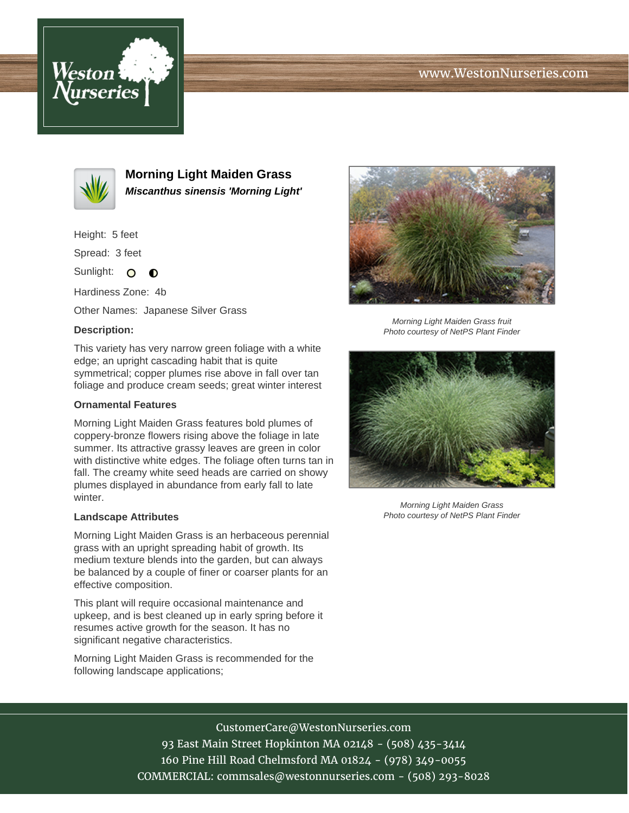# www.WestonNurseries.com





**Morning Light Maiden Grass Miscanthus sinensis 'Morning Light'**

Height: 5 feet

Spread: 3 feet

Sunlight: O  $\bullet$ 

Hardiness Zone: 4b

Other Names: Japanese Silver Grass

#### **Description:**

This variety has very narrow green foliage with a white edge; an upright cascading habit that is quite symmetrical; copper plumes rise above in fall over tan foliage and produce cream seeds; great winter interest

### **Ornamental Features**

Morning Light Maiden Grass features bold plumes of coppery-bronze flowers rising above the foliage in late summer. Its attractive grassy leaves are green in color with distinctive white edges. The foliage often turns tan in fall. The creamy white seed heads are carried on showy plumes displayed in abundance from early fall to late winter.

#### **Landscape Attributes**

Morning Light Maiden Grass is an herbaceous perennial grass with an upright spreading habit of growth. Its medium texture blends into the garden, but can always be balanced by a couple of finer or coarser plants for an effective composition.

This plant will require occasional maintenance and upkeep, and is best cleaned up in early spring before it resumes active growth for the season. It has no significant negative characteristics.

Morning Light Maiden Grass is recommended for the following landscape applications;



Morning Light Maiden Grass fruit Photo courtesy of NetPS Plant Finder



Morning Light Maiden Grass Photo courtesy of NetPS Plant Finder

CustomerCare@WestonNurseries.com

93 East Main Street Hopkinton MA 02148 - (508) 435-3414 160 Pine Hill Road Chelmsford MA 01824 - (978) 349-0055 COMMERCIAL: commsales@westonnurseries.com - (508) 293-8028